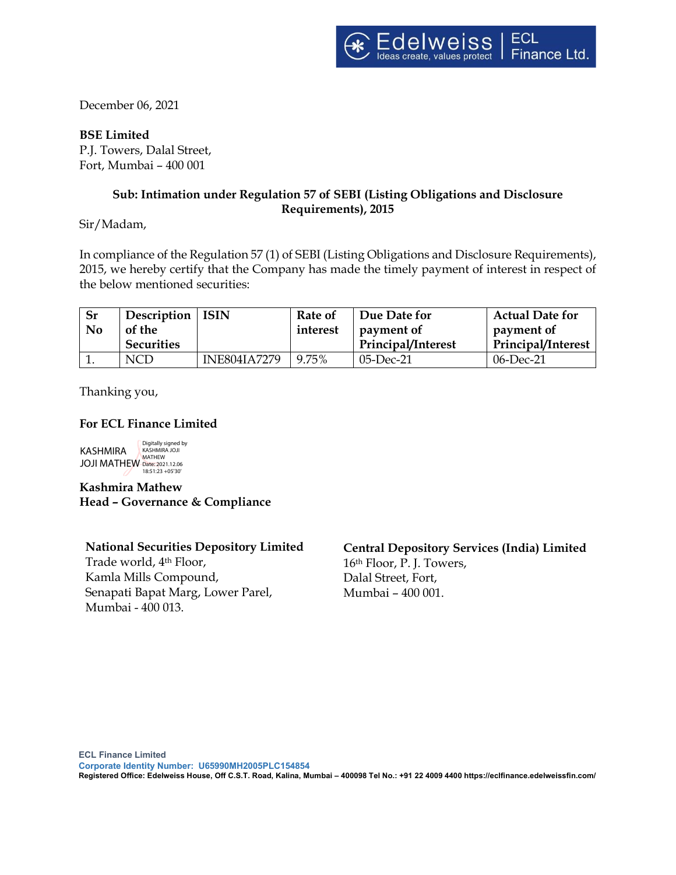December 06, 2021

**BSE Limited** P.J. Towers, Dalal Street, Fort, Mumbai – 400 001

# **Sub: Intimation under Regulation 57 of SEBI (Listing Obligations and Disclosure Requirements), 2015**

Sir/Madam,

In compliance of the Regulation 57 (1) of SEBI (Listing Obligations and Disclosure Requirements), 2015, we hereby certify that the Company has made the timely payment of interest in respect of the below mentioned securities:

| <b>Sr</b><br>N <sub>0</sub> | Description   ISIN<br>of the |                     | Rate of<br>interest | Due Date for<br>payment of | <b>Actual Date for</b><br>payment of |
|-----------------------------|------------------------------|---------------------|---------------------|----------------------------|--------------------------------------|
|                             | <b>Securities</b>            |                     |                     | Principal/Interest         | Principal/Interest                   |
|                             | NCD                          | <b>INE804IA7279</b> | 9.75%               | $05$ -Dec-21               | $06$ -Dec-21                         |

Thanking you,

## **For ECL Finance Limited**

KASHMIRA JOJI MATHEW Date: 2021.12.06 18:51:23 +05'30'Digitally signed by KASHMIRA JOJI **MATHEW** 

**Kashmira Mathew Head – Governance & Compliance**

**National Securities Depository Limited** Trade world, 4th Floor, Kamla Mills Compound, Senapati Bapat Marg, Lower Parel, Mumbai - 400 013.

**Central Depository Services (India) Limited** 16th Floor, P. J. Towers, Dalal Street, Fort, Mumbai – 400 001.

**ECL Finance Limited** 

**Corporate Identity Number: U65990MH2005PLC154854 Registered Office: Edelweiss House, Off C.S.T. Road, Kalina, Mumbai – 400098 Tel No.: +91 22 4009 4400 https://eclfinance.edelweissfin.com/**